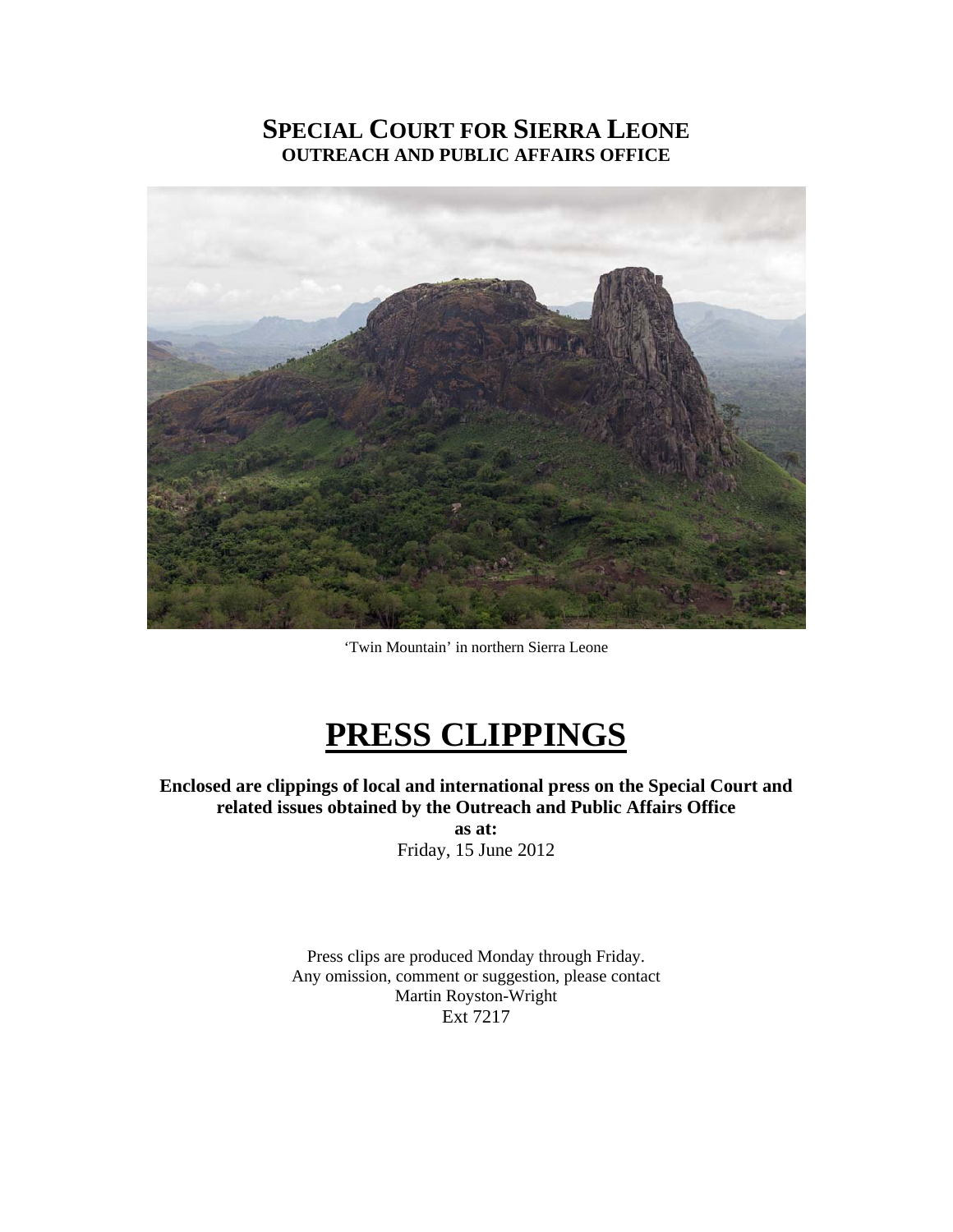# **SPECIAL COURT FOR SIERRA LEONE OUTREACH AND PUBLIC AFFAIRS OFFICE**



'Twin Mountain' in northern Sierra Leone

# **PRESS CLIPPINGS**

**Enclosed are clippings of local and international press on the Special Court and related issues obtained by the Outreach and Public Affairs Office as at:** 

Friday, 15 June 2012

Press clips are produced Monday through Friday. Any omission, comment or suggestion, please contact Martin Royston-Wright Ext 7217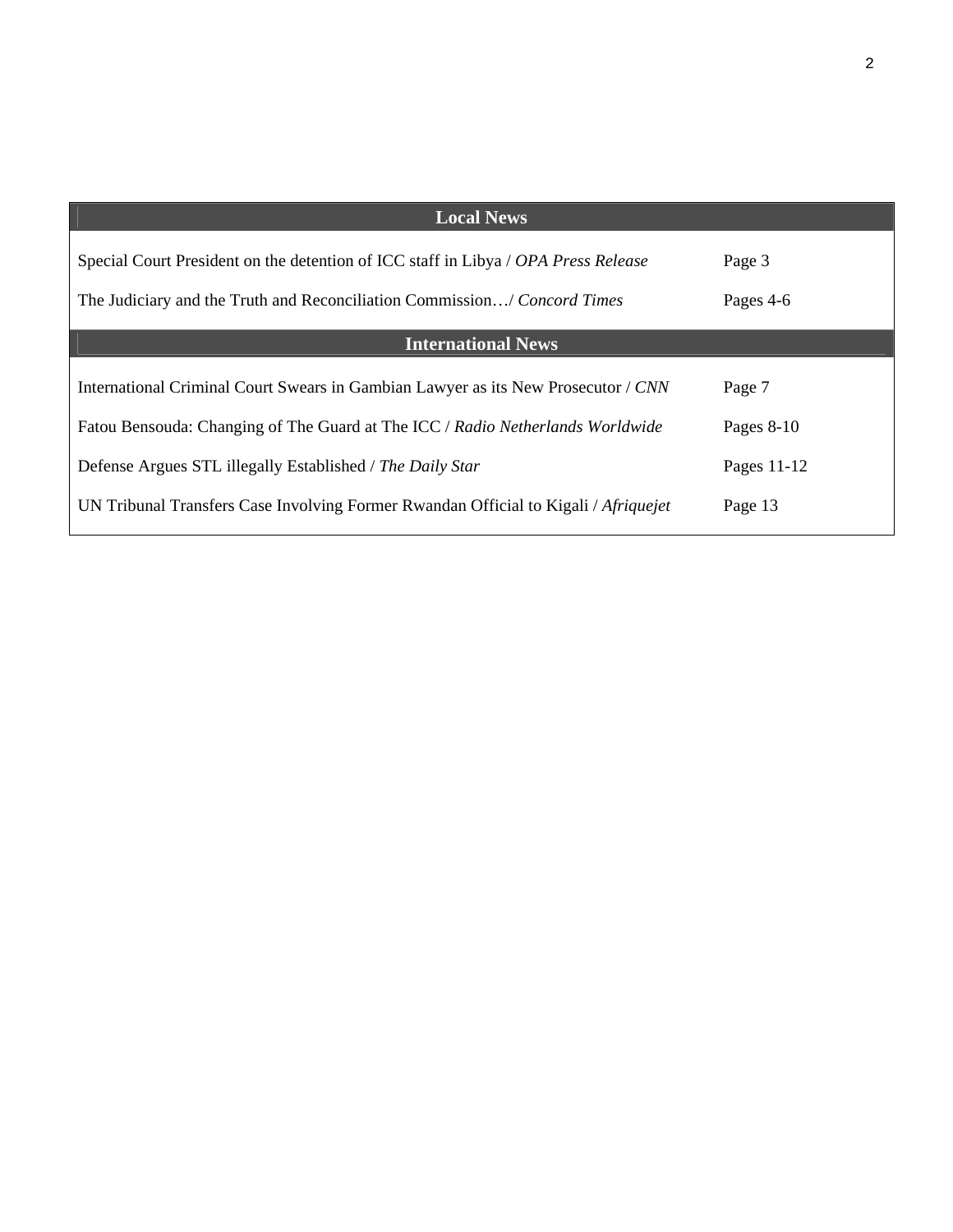| <b>Local News</b>                                                                   |              |
|-------------------------------------------------------------------------------------|--------------|
| Special Court President on the detention of ICC staff in Libya / OPA Press Release  | Page 3       |
| The Judiciary and the Truth and Reconciliation Commission/ Concord Times            | Pages 4-6    |
| <b>International News</b>                                                           |              |
| International Criminal Court Swears in Gambian Lawyer as its New Prosecutor / CNN   | Page 7       |
| Fatou Bensouda: Changing of The Guard at The ICC / Radio Netherlands Worldwide      | Pages $8-10$ |
| Defense Argues STL illegally Established / The Daily Star                           | Pages 11-12  |
| UN Tribunal Transfers Case Involving Former Rwandan Official to Kigali / Afriquejet | Page 13      |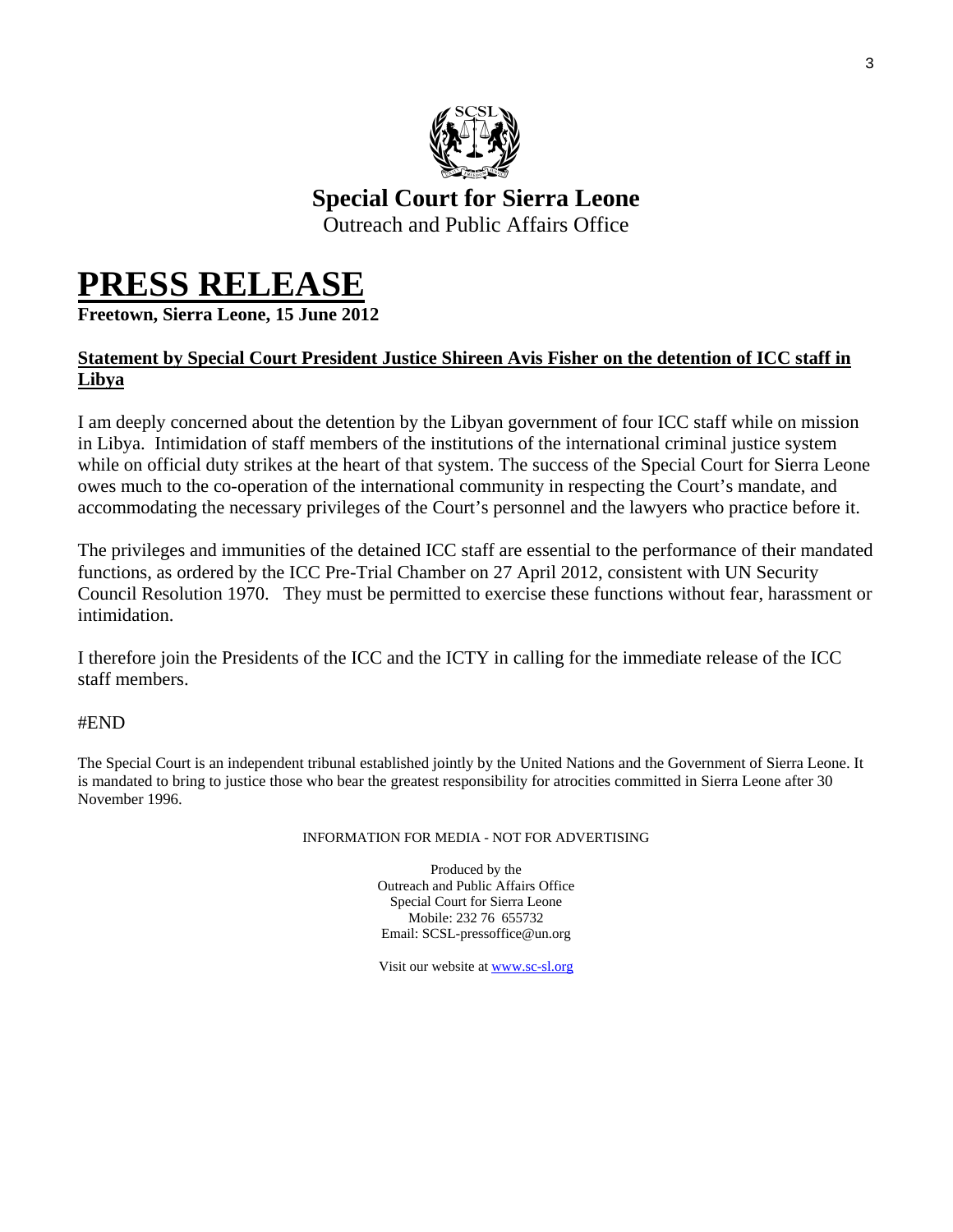

# **Special Court for Sierra Leone**  Outreach and Public Affairs Office

# **PRESS RELEASE Freetown, Sierra Leone, 15 June 2012**

#### **Statement by Special Court President Justice Shireen Avis Fisher on the detention of ICC staff in Libya**

I am deeply concerned about the detention by the Libyan government of four ICC staff while on mission in Libya. Intimidation of staff members of the institutions of the international criminal justice system while on official duty strikes at the heart of that system. The success of the Special Court for Sierra Leone owes much to the co-operation of the international community in respecting the Court's mandate, and accommodating the necessary privileges of the Court's personnel and the lawyers who practice before it.

The privileges and immunities of the detained ICC staff are essential to the performance of their mandated functions, as ordered by the ICC Pre-Trial Chamber on 27 April 2012, consistent with UN Security Council Resolution 1970. They must be permitted to exercise these functions without fear, harassment or intimidation.

I therefore join the Presidents of the ICC and the ICTY in calling for the immediate release of the ICC staff members.

#### #END

The Special Court is an independent tribunal established jointly by the United Nations and the Government of Sierra Leone. It is mandated to bring to justice those who bear the greatest responsibility for atrocities committed in Sierra Leone after 30 November 1996.

INFORMATION FOR MEDIA - NOT FOR ADVERTISING

Produced by the Outreach and Public Affairs Office Special Court for Sierra Leone Mobile: 232 76 655732 Email: SCSL-pressoffice@un.org

Visit our website at www.sc-sl.org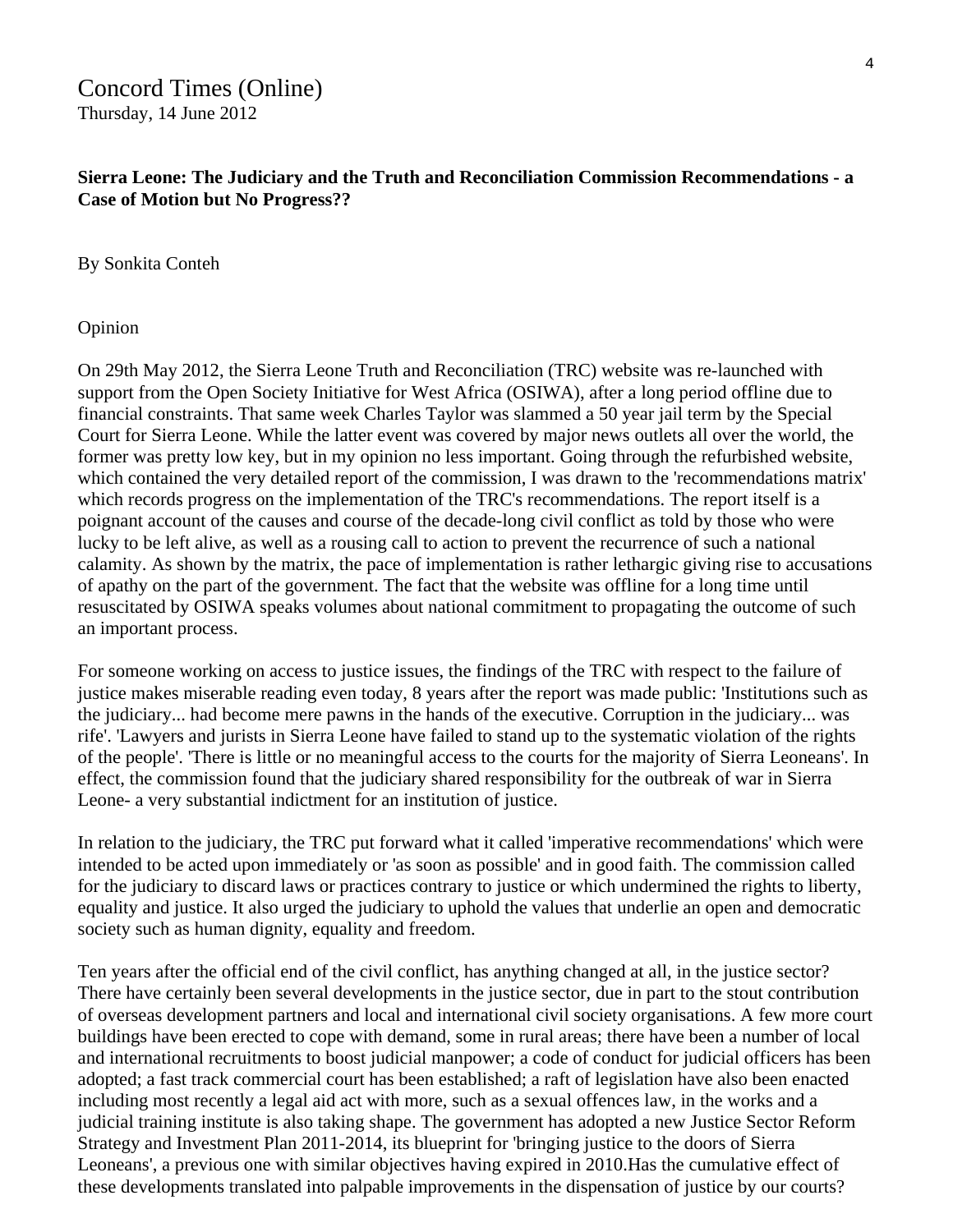Concord Times (Online) Thursday, 14 June 2012

**Sierra Leone: The Judiciary and the Truth and Reconciliation Commission Recommendations - a Case of Motion but No Progress??** 

By Sonkita Conteh

Opinion

On 29th May 2012, the Sierra Leone Truth and Reconciliation (TRC) website was re-launched with support from the Open Society Initiative for West Africa (OSIWA), after a long period offline due to financial constraints. That same week Charles Taylor was slammed a 50 year jail term by the Special Court for Sierra Leone. While the latter event was covered by major news outlets all over the world, the former was pretty low key, but in my opinion no less important. Going through the refurbished website, which contained the very detailed report of the commission, I was drawn to the 'recommendations matrix' which records progress on the implementation of the TRC's recommendations. The report itself is a poignant account of the causes and course of the decade-long civil conflict as told by those who were lucky to be left alive, as well as a rousing call to action to prevent the recurrence of such a national calamity. As shown by the matrix, the pace of implementation is rather lethargic giving rise to accusations of apathy on the part of the government. The fact that the website was offline for a long time until resuscitated by OSIWA speaks volumes about national commitment to propagating the outcome of such an important process.

For someone working on access to justice issues, the findings of the TRC with respect to the failure of justice makes miserable reading even today, 8 years after the report was made public: 'Institutions such as the judiciary... had become mere pawns in the hands of the executive. Corruption in the judiciary... was rife'. 'Lawyers and jurists in Sierra Leone have failed to stand up to the systematic violation of the rights of the people'. 'There is little or no meaningful access to the courts for the majority of Sierra Leoneans'. In effect, the commission found that the judiciary shared responsibility for the outbreak of war in Sierra Leone- a very substantial indictment for an institution of justice.

In relation to the judiciary, the TRC put forward what it called 'imperative recommendations' which were intended to be acted upon immediately or 'as soon as possible' and in good faith. The commission called for the judiciary to discard laws or practices contrary to justice or which undermined the rights to liberty, equality and justice. It also urged the judiciary to uphold the values that underlie an open and democratic society such as human dignity, equality and freedom.

Ten years after the official end of the civil conflict, has anything changed at all, in the justice sector? There have certainly been several developments in the justice sector, due in part to the stout contribution of overseas development partners and local and international civil society organisations. A few more court buildings have been erected to cope with demand, some in rural areas; there have been a number of local and international recruitments to boost judicial manpower; a code of conduct for judicial officers has been adopted; a fast track commercial court has been established; a raft of legislation have also been enacted including most recently a legal aid act with more, such as a sexual offences law, in the works and a judicial training institute is also taking shape. The government has adopted a new Justice Sector Reform Strategy and Investment Plan 2011-2014, its blueprint for 'bringing justice to the doors of Sierra Leoneans', a previous one with similar objectives having expired in 2010.Has the cumulative effect of these developments translated into palpable improvements in the dispensation of justice by our courts?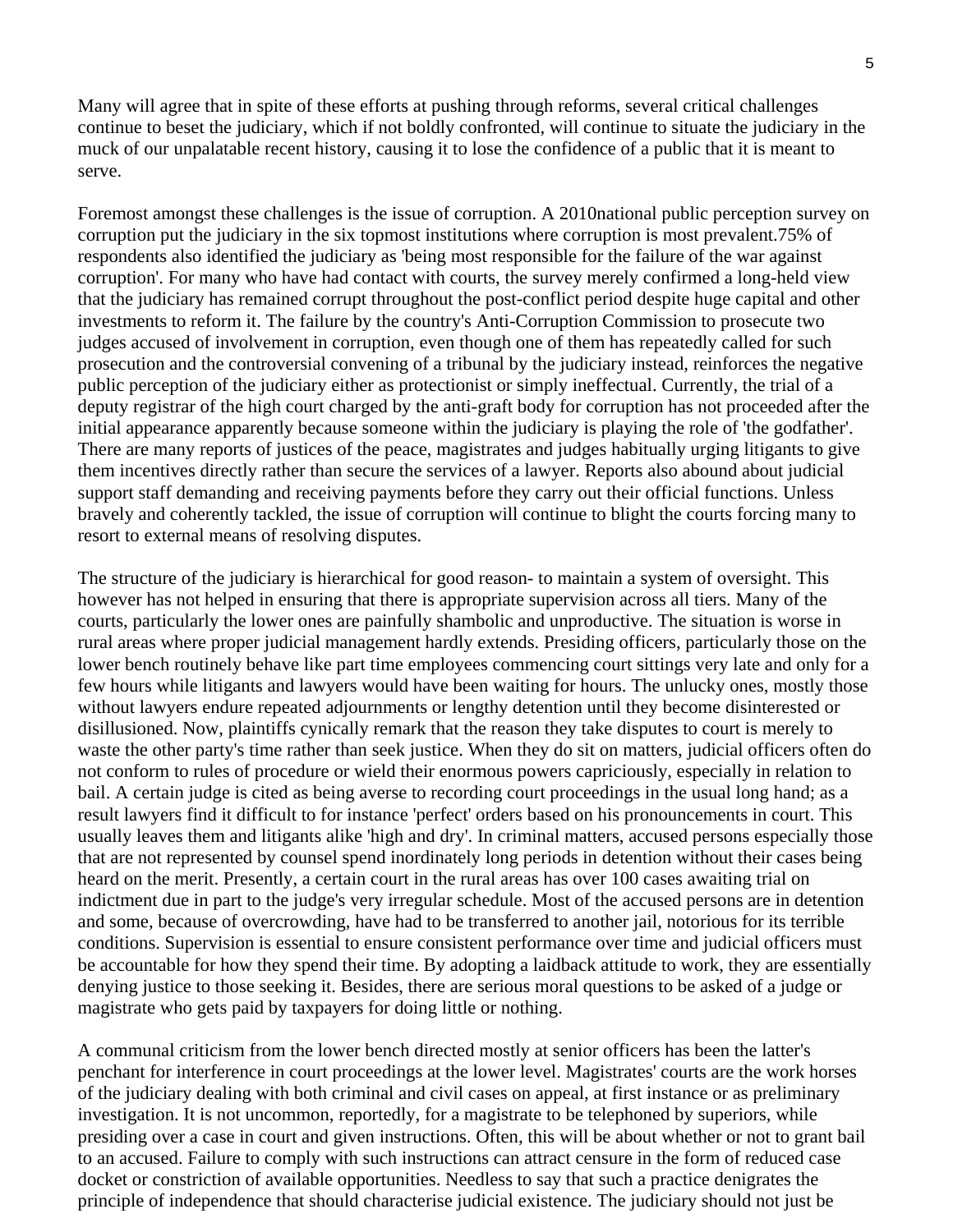Many will agree that in spite of these efforts at pushing through reforms, several critical challenges continue to beset the judiciary, which if not boldly confronted, will continue to situate the judiciary in the muck of our unpalatable recent history, causing it to lose the confidence of a public that it is meant to serve.

Foremost amongst these challenges is the issue of corruption. A 2010national public perception survey on corruption put the judiciary in the six topmost institutions where corruption is most prevalent.75% of respondents also identified the judiciary as 'being most responsible for the failure of the war against corruption'. For many who have had contact with courts, the survey merely confirmed a long-held view that the judiciary has remained corrupt throughout the post-conflict period despite huge capital and other investments to reform it. The failure by the country's Anti-Corruption Commission to prosecute two judges accused of involvement in corruption, even though one of them has repeatedly called for such prosecution and the controversial convening of a tribunal by the judiciary instead, reinforces the negative public perception of the judiciary either as protectionist or simply ineffectual. Currently, the trial of a deputy registrar of the high court charged by the anti-graft body for corruption has not proceeded after the initial appearance apparently because someone within the judiciary is playing the role of 'the godfather'. There are many reports of justices of the peace, magistrates and judges habitually urging litigants to give them incentives directly rather than secure the services of a lawyer. Reports also abound about judicial support staff demanding and receiving payments before they carry out their official functions. Unless bravely and coherently tackled, the issue of corruption will continue to blight the courts forcing many to resort to external means of resolving disputes.

The structure of the judiciary is hierarchical for good reason- to maintain a system of oversight. This however has not helped in ensuring that there is appropriate supervision across all tiers. Many of the courts, particularly the lower ones are painfully shambolic and unproductive. The situation is worse in rural areas where proper judicial management hardly extends. Presiding officers, particularly those on the lower bench routinely behave like part time employees commencing court sittings very late and only for a few hours while litigants and lawyers would have been waiting for hours. The unlucky ones, mostly those without lawyers endure repeated adjournments or lengthy detention until they become disinterested or disillusioned. Now, plaintiffs cynically remark that the reason they take disputes to court is merely to waste the other party's time rather than seek justice. When they do sit on matters, judicial officers often do not conform to rules of procedure or wield their enormous powers capriciously, especially in relation to bail. A certain judge is cited as being averse to recording court proceedings in the usual long hand; as a result lawyers find it difficult to for instance 'perfect' orders based on his pronouncements in court. This usually leaves them and litigants alike 'high and dry'. In criminal matters, accused persons especially those that are not represented by counsel spend inordinately long periods in detention without their cases being heard on the merit. Presently, a certain court in the rural areas has over 100 cases awaiting trial on indictment due in part to the judge's very irregular schedule. Most of the accused persons are in detention and some, because of overcrowding, have had to be transferred to another jail, notorious for its terrible conditions. Supervision is essential to ensure consistent performance over time and judicial officers must be accountable for how they spend their time. By adopting a laidback attitude to work, they are essentially denying justice to those seeking it. Besides, there are serious moral questions to be asked of a judge or magistrate who gets paid by taxpayers for doing little or nothing.

A communal criticism from the lower bench directed mostly at senior officers has been the latter's penchant for interference in court proceedings at the lower level. Magistrates' courts are the work horses of the judiciary dealing with both criminal and civil cases on appeal, at first instance or as preliminary investigation. It is not uncommon, reportedly, for a magistrate to be telephoned by superiors, while presiding over a case in court and given instructions. Often, this will be about whether or not to grant bail to an accused. Failure to comply with such instructions can attract censure in the form of reduced case docket or constriction of available opportunities. Needless to say that such a practice denigrates the principle of independence that should characterise judicial existence. The judiciary should not just be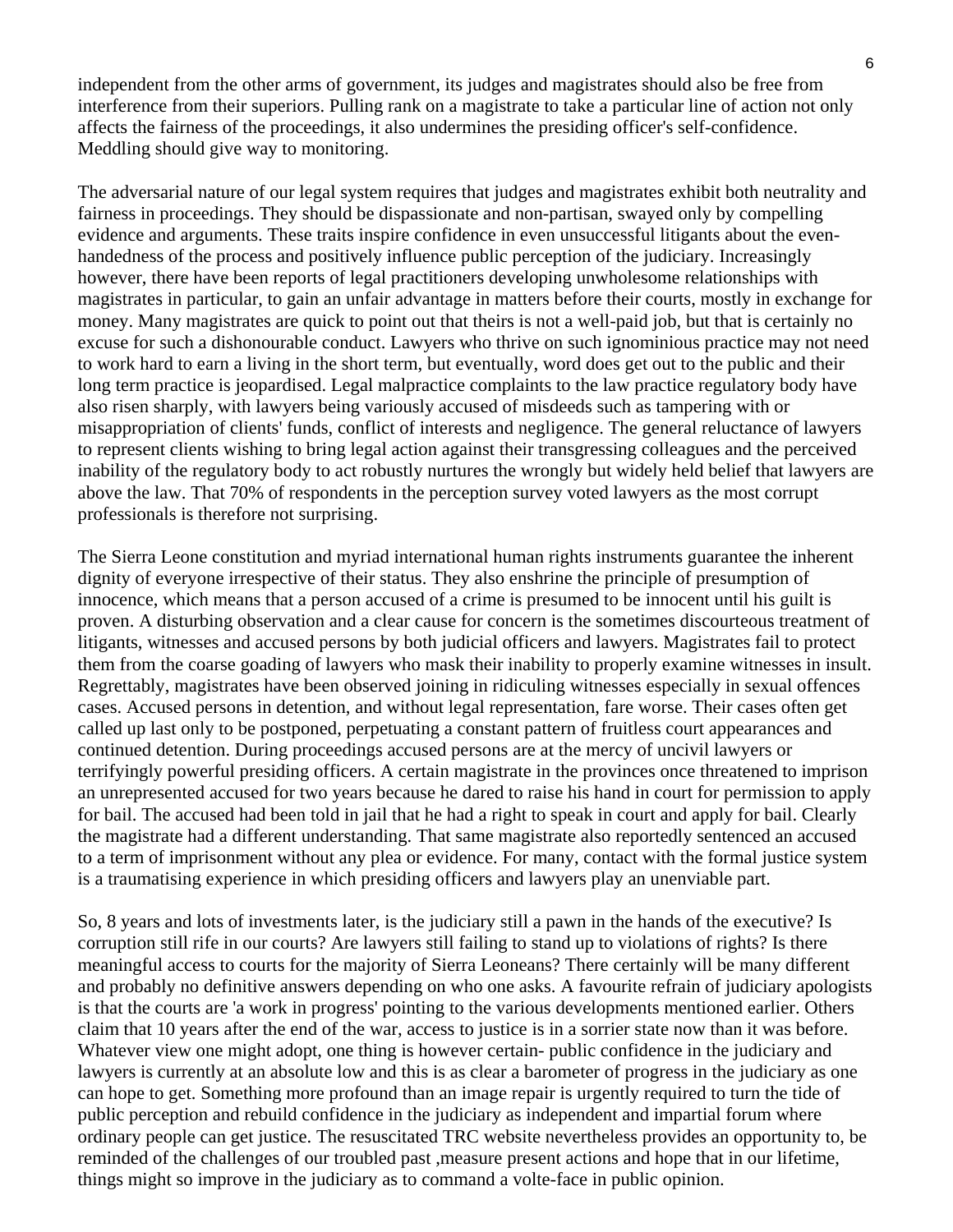independent from the other arms of government, its judges and magistrates should also be free from interference from their superiors. Pulling rank on a magistrate to take a particular line of action not only affects the fairness of the proceedings, it also undermines the presiding officer's self-confidence. Meddling should give way to monitoring.

The adversarial nature of our legal system requires that judges and magistrates exhibit both neutrality and fairness in proceedings. They should be dispassionate and non-partisan, swayed only by compelling evidence and arguments. These traits inspire confidence in even unsuccessful litigants about the evenhandedness of the process and positively influence public perception of the judiciary. Increasingly however, there have been reports of legal practitioners developing unwholesome relationships with magistrates in particular, to gain an unfair advantage in matters before their courts, mostly in exchange for money. Many magistrates are quick to point out that theirs is not a well-paid job, but that is certainly no excuse for such a dishonourable conduct. Lawyers who thrive on such ignominious practice may not need to work hard to earn a living in the short term, but eventually, word does get out to the public and their long term practice is jeopardised. Legal malpractice complaints to the law practice regulatory body have also risen sharply, with lawyers being variously accused of misdeeds such as tampering with or misappropriation of clients' funds, conflict of interests and negligence. The general reluctance of lawyers to represent clients wishing to bring legal action against their transgressing colleagues and the perceived inability of the regulatory body to act robustly nurtures the wrongly but widely held belief that lawyers are above the law. That 70% of respondents in the perception survey voted lawyers as the most corrupt professionals is therefore not surprising.

The Sierra Leone constitution and myriad international human rights instruments guarantee the inherent dignity of everyone irrespective of their status. They also enshrine the principle of presumption of innocence, which means that a person accused of a crime is presumed to be innocent until his guilt is proven. A disturbing observation and a clear cause for concern is the sometimes discourteous treatment of litigants, witnesses and accused persons by both judicial officers and lawyers. Magistrates fail to protect them from the coarse goading of lawyers who mask their inability to properly examine witnesses in insult. Regrettably, magistrates have been observed joining in ridiculing witnesses especially in sexual offences cases. Accused persons in detention, and without legal representation, fare worse. Their cases often get called up last only to be postponed, perpetuating a constant pattern of fruitless court appearances and continued detention. During proceedings accused persons are at the mercy of uncivil lawyers or terrifyingly powerful presiding officers. A certain magistrate in the provinces once threatened to imprison an unrepresented accused for two years because he dared to raise his hand in court for permission to apply for bail. The accused had been told in jail that he had a right to speak in court and apply for bail. Clearly the magistrate had a different understanding. That same magistrate also reportedly sentenced an accused to a term of imprisonment without any plea or evidence. For many, contact with the formal justice system is a traumatising experience in which presiding officers and lawyers play an unenviable part.

So, 8 years and lots of investments later, is the judiciary still a pawn in the hands of the executive? Is corruption still rife in our courts? Are lawyers still failing to stand up to violations of rights? Is there meaningful access to courts for the majority of Sierra Leoneans? There certainly will be many different and probably no definitive answers depending on who one asks. A favourite refrain of judiciary apologists is that the courts are 'a work in progress' pointing to the various developments mentioned earlier. Others claim that 10 years after the end of the war, access to justice is in a sorrier state now than it was before. Whatever view one might adopt, one thing is however certain- public confidence in the judiciary and lawyers is currently at an absolute low and this is as clear a barometer of progress in the judiciary as one can hope to get. Something more profound than an image repair is urgently required to turn the tide of public perception and rebuild confidence in the judiciary as independent and impartial forum where ordinary people can get justice. The resuscitated TRC website nevertheless provides an opportunity to, be reminded of the challenges of our troubled past ,measure present actions and hope that in our lifetime, things might so improve in the judiciary as to command a volte-face in public opinion.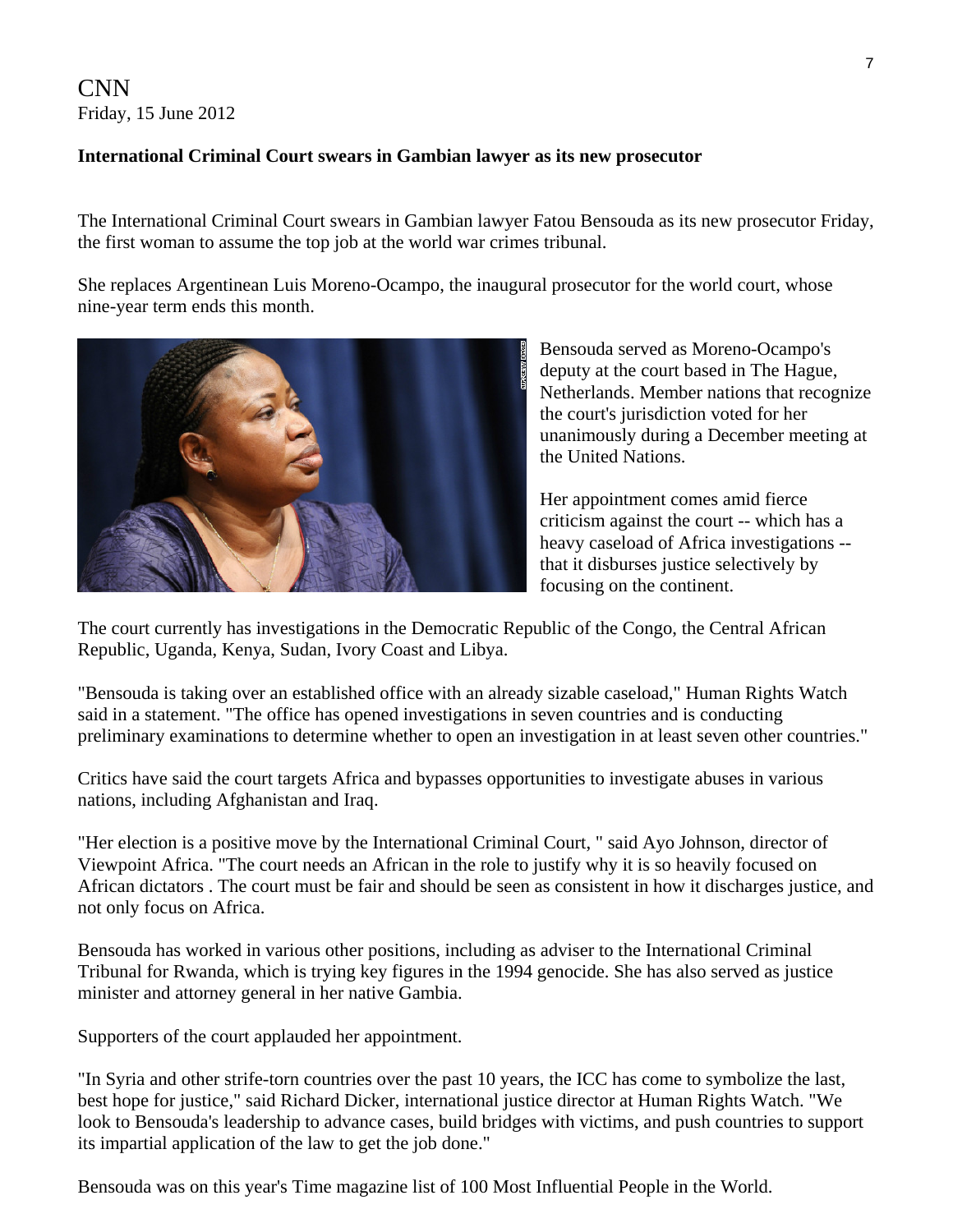## CNN Friday, 15 June 2012

#### **International Criminal Court swears in Gambian lawyer as its new prosecutor**

The International Criminal Court swears in Gambian lawyer Fatou Bensouda as its new prosecutor Friday, the first woman to assume the top job at the world war crimes tribunal.

She replaces Argentinean Luis Moreno-Ocampo, the inaugural prosecutor for the world court, whose nine-year term ends this month.



Bensouda served as Moreno-Ocampo's deputy at the court based in The Hague, Netherlands. Member nations that recognize the court's jurisdiction voted for her unanimously during a December meeting at the United Nations.

Her appointment comes amid fierce criticism against the court -- which has a heavy caseload of Africa investigations - that it disburses justice selectively by focusing on the continent.

The court currently has investigations in the Democratic Republic of the Congo, the Central African Republic, Uganda, Kenya, Sudan, Ivory Coast and Libya.

"Bensouda is taking over an established office with an already sizable caseload," Human Rights Watch said in a statement. "The office has opened investigations in seven countries and is conducting preliminary examinations to determine whether to open an investigation in at least seven other countries."

Critics have said the court targets Africa and bypasses opportunities to investigate abuses in various nations, including Afghanistan and Iraq.

"Her election is a positive move by the International Criminal Court, " said Ayo Johnson, director of Viewpoint Africa. "The court needs an African in the role to justify why it is so heavily focused on African dictators . The court must be fair and should be seen as consistent in how it discharges justice, and not only focus on Africa.

Bensouda has worked in various other positions, including as adviser to the International Criminal Tribunal for Rwanda, which is trying key figures in the 1994 genocide. She has also served as justice minister and attorney general in her native Gambia.

Supporters of the court applauded her appointment.

"In Syria and other strife-torn countries over the past 10 years, the ICC has come to symbolize the last, best hope for justice," said Richard Dicker, international justice director at Human Rights Watch. "We look to Bensouda's leadership to advance cases, build bridges with victims, and push countries to support its impartial application of the law to get the job done."

Bensouda was on this year's Time magazine list of 100 Most Influential People in the World.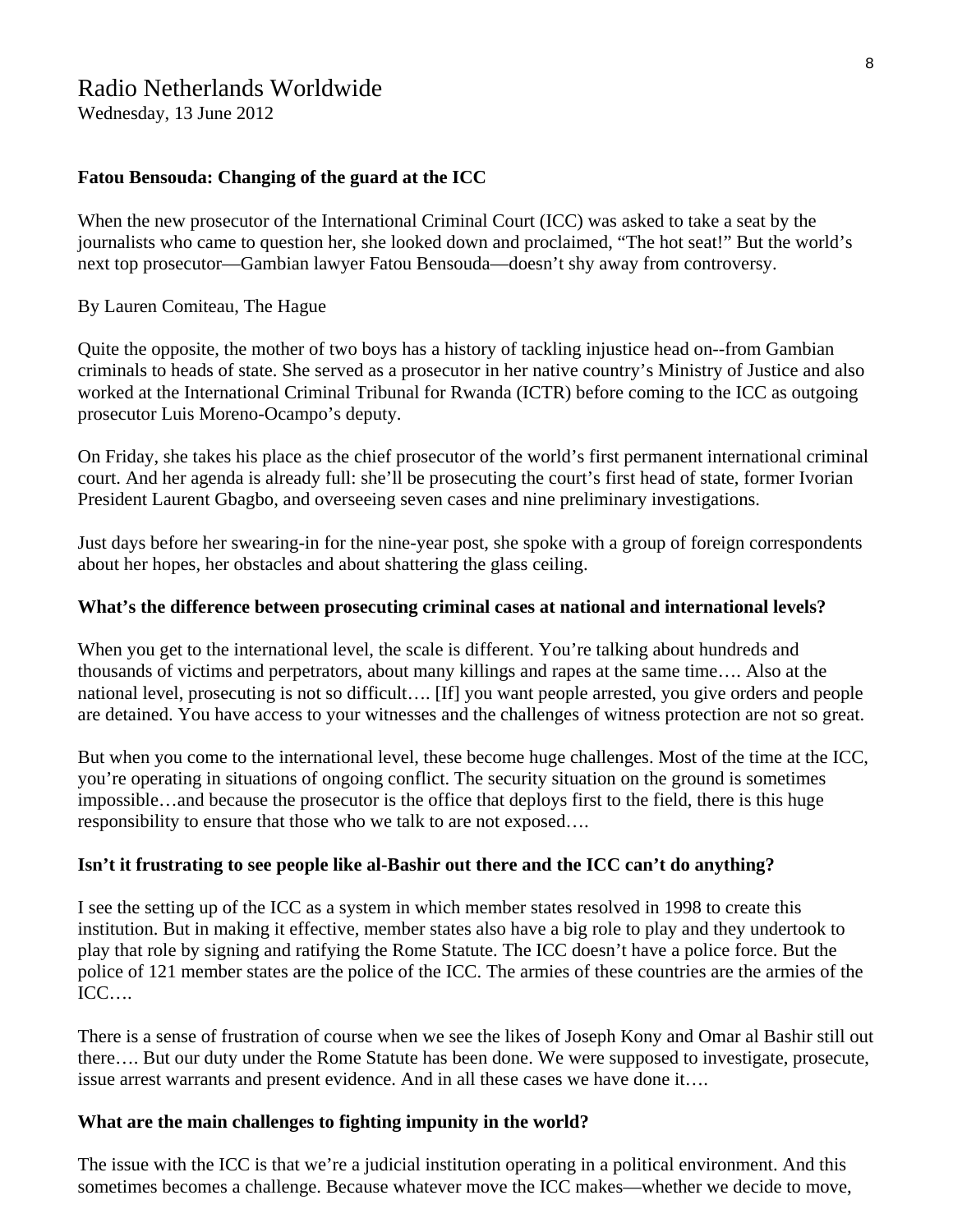## Radio Netherlands Worldwide

Wednesday, 13 June 2012

#### **Fatou Bensouda: Changing of the guard at the ICC**

When the new prosecutor of the International Criminal Court (ICC) was asked to take a seat by the journalists who came to question her, she looked down and proclaimed, "The hot seat!" But the world's next top prosecutor—Gambian lawyer Fatou Bensouda—doesn't shy away from controversy.

#### By Lauren Comiteau, The Hague

Quite the opposite, the mother of two boys has a history of tackling injustice head on--from Gambian criminals to heads of state. She served as a prosecutor in her native country's Ministry of Justice and also worked at the International Criminal Tribunal for Rwanda (ICTR) before coming to the ICC as outgoing prosecutor Luis Moreno-Ocampo's deputy.

On Friday, she takes his place as the chief prosecutor of the world's first permanent international criminal court. And her agenda is already full: she'll be prosecuting the court's first head of state, former Ivorian President Laurent Gbagbo, and overseeing seven cases and nine preliminary investigations.

Just days before her swearing-in for the nine-year post, she spoke with a group of foreign correspondents about her hopes, her obstacles and about shattering the glass ceiling.

#### **What's the difference between prosecuting criminal cases at national and international levels?**

When you get to the international level, the scale is different. You're talking about hundreds and thousands of victims and perpetrators, about many killings and rapes at the same time…. Also at the national level, prosecuting is not so difficult…. [If] you want people arrested, you give orders and people are detained. You have access to your witnesses and the challenges of witness protection are not so great.

But when you come to the international level, these become huge challenges. Most of the time at the ICC, you're operating in situations of ongoing conflict. The security situation on the ground is sometimes impossible…and because the prosecutor is the office that deploys first to the field, there is this huge responsibility to ensure that those who we talk to are not exposed….

#### **Isn't it frustrating to see people like al-Bashir out there and the ICC can't do anything?**

I see the setting up of the ICC as a system in which member states resolved in 1998 to create this institution. But in making it effective, member states also have a big role to play and they undertook to play that role by signing and ratifying the Rome Statute. The ICC doesn't have a police force. But the police of 121 member states are the police of the ICC. The armies of these countries are the armies of the ICC….

There is a sense of frustration of course when we see the likes of Joseph Kony and Omar al Bashir still out there…. But our duty under the Rome Statute has been done. We were supposed to investigate, prosecute, issue arrest warrants and present evidence. And in all these cases we have done it….

#### **What are the main challenges to fighting impunity in the world?**

The issue with the ICC is that we're a judicial institution operating in a political environment. And this sometimes becomes a challenge. Because whatever move the ICC makes—whether we decide to move,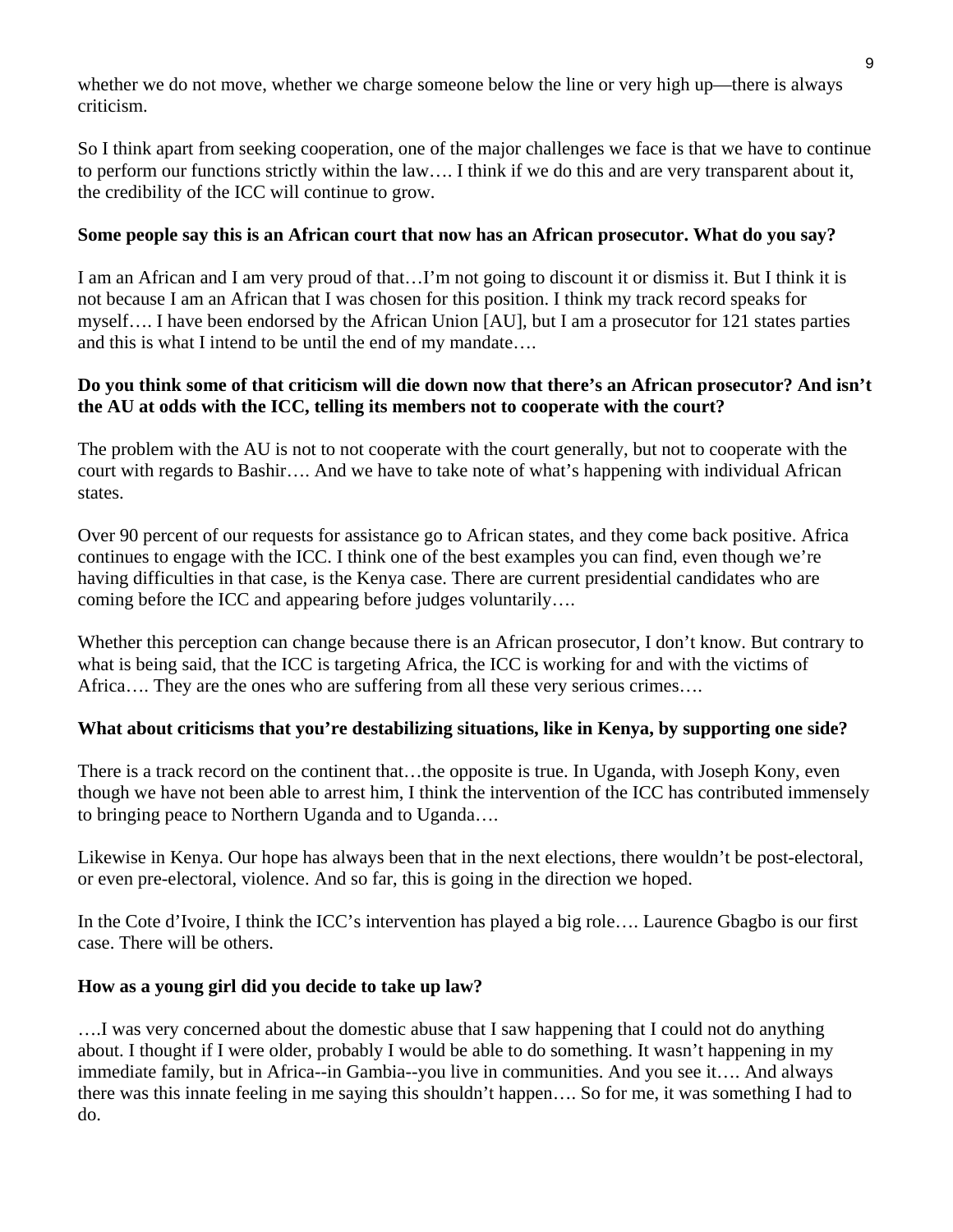whether we do not move, whether we charge someone below the line or very high up—there is always criticism.

So I think apart from seeking cooperation, one of the major challenges we face is that we have to continue to perform our functions strictly within the law…. I think if we do this and are very transparent about it, the credibility of the ICC will continue to grow.

#### **Some people say this is an African court that now has an African prosecutor. What do you say?**

I am an African and I am very proud of that…I'm not going to discount it or dismiss it. But I think it is not because I am an African that I was chosen for this position. I think my track record speaks for myself…. I have been endorsed by the African Union [AU], but I am a prosecutor for 121 states parties and this is what I intend to be until the end of my mandate….

#### **Do you think some of that criticism will die down now that there's an African prosecutor? And isn't the AU at odds with the ICC, telling its members not to cooperate with the court?**

The problem with the AU is not to not cooperate with the court generally, but not to cooperate with the court with regards to Bashir…. And we have to take note of what's happening with individual African states.

Over 90 percent of our requests for assistance go to African states, and they come back positive. Africa continues to engage with the ICC. I think one of the best examples you can find, even though we're having difficulties in that case, is the Kenya case. There are current presidential candidates who are coming before the ICC and appearing before judges voluntarily….

Whether this perception can change because there is an African prosecutor, I don't know. But contrary to what is being said, that the ICC is targeting Africa, the ICC is working for and with the victims of Africa…. They are the ones who are suffering from all these very serious crimes….

#### **What about criticisms that you're destabilizing situations, like in Kenya, by supporting one side?**

There is a track record on the continent that…the opposite is true. In Uganda, with Joseph Kony, even though we have not been able to arrest him, I think the intervention of the ICC has contributed immensely to bringing peace to Northern Uganda and to Uganda….

Likewise in Kenya. Our hope has always been that in the next elections, there wouldn't be post-electoral, or even pre-electoral, violence. And so far, this is going in the direction we hoped.

In the Cote d'Ivoire, I think the ICC's intervention has played a big role…. Laurence Gbagbo is our first case. There will be others.

#### **How as a young girl did you decide to take up law?**

….I was very concerned about the domestic abuse that I saw happening that I could not do anything about. I thought if I were older, probably I would be able to do something. It wasn't happening in my immediate family, but in Africa--in Gambia--you live in communities. And you see it…. And always there was this innate feeling in me saying this shouldn't happen…. So for me, it was something I had to do.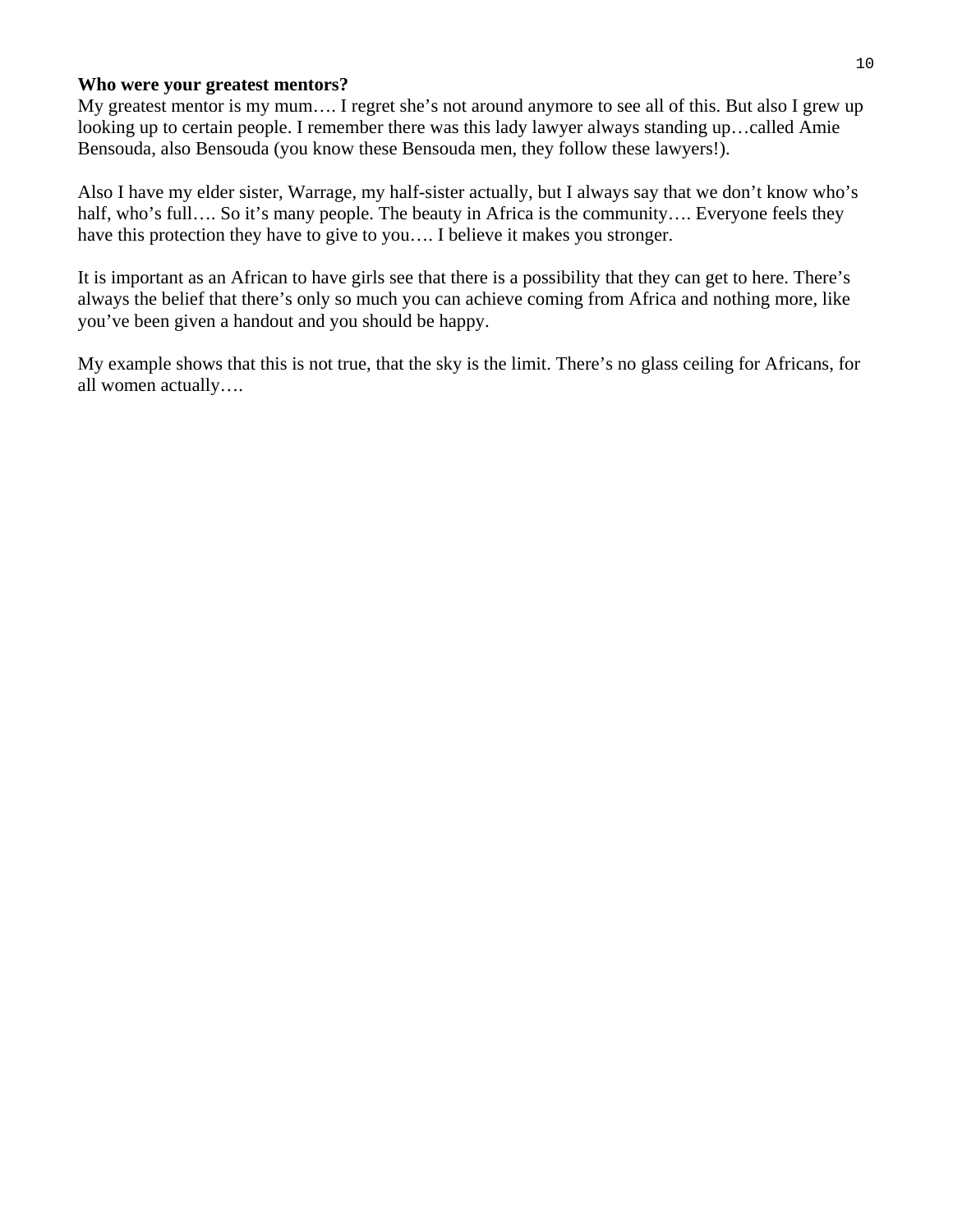#### **Who were your greatest mentors?**

My greatest mentor is my mum…. I regret she's not around anymore to see all of this. But also I grew up looking up to certain people. I remember there was this lady lawyer always standing up…called Amie Bensouda, also Bensouda (you know these Bensouda men, they follow these lawyers!).

Also I have my elder sister, Warrage, my half-sister actually, but I always say that we don't know who's half, who's full…. So it's many people. The beauty in Africa is the community…. Everyone feels they have this protection they have to give to you…. I believe it makes you stronger.

It is important as an African to have girls see that there is a possibility that they can get to here. There's always the belief that there's only so much you can achieve coming from Africa and nothing more, like you've been given a handout and you should be happy.

My example shows that this is not true, that the sky is the limit. There's no glass ceiling for Africans, for all women actually….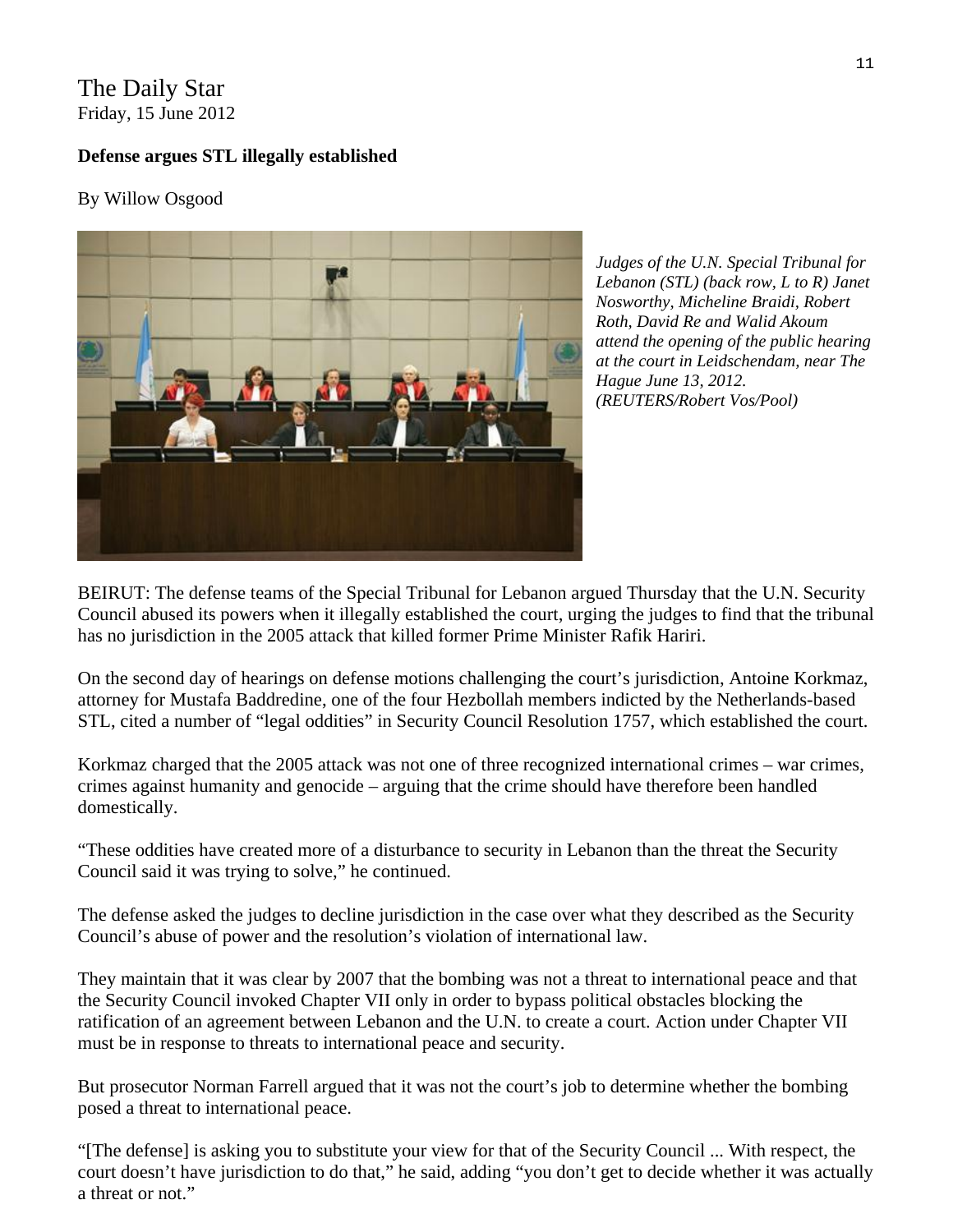# The Daily Star Friday, 15 June 2012

#### **Defense argues STL illegally established**

#### By Willow Osgood



*Judges of the U.N. Special Tribunal for Lebanon (STL) (back row, L to R) Janet Nosworthy, Micheline Braidi, Robert Roth, David Re and Walid Akoum attend the opening of the public hearing at the court in Leidschendam, near The Hague June 13, 2012. (REUTERS/Robert Vos/Pool)* 

BEIRUT: The defense teams of the Special Tribunal for Lebanon argued Thursday that the U.N. Security Council abused its powers when it illegally established the court, urging the judges to find that the tribunal has no jurisdiction in the 2005 attack that killed former Prime Minister Rafik Hariri.

On the second day of hearings on defense motions challenging the court's jurisdiction, Antoine Korkmaz, attorney for Mustafa Baddredine, one of the four Hezbollah members indicted by the Netherlands-based STL, cited a number of "legal oddities" in Security Council Resolution 1757, which established the court.

Korkmaz charged that the 2005 attack was not one of three recognized international crimes – war crimes, crimes against humanity and genocide – arguing that the crime should have therefore been handled domestically.

"These oddities have created more of a disturbance to security in Lebanon than the threat the Security Council said it was trying to solve," he continued.

The defense asked the judges to decline jurisdiction in the case over what they described as the Security Council's abuse of power and the resolution's violation of international law.

They maintain that it was clear by 2007 that the bombing was not a threat to international peace and that the Security Council invoked Chapter VII only in order to bypass political obstacles blocking the ratification of an agreement between Lebanon and the U.N. to create a court. Action under Chapter VII must be in response to threats to international peace and security.

But prosecutor Norman Farrell argued that it was not the court's job to determine whether the bombing posed a threat to international peace.

"[The defense] is asking you to substitute your view for that of the Security Council ... With respect, the court doesn't have jurisdiction to do that," he said, adding "you don't get to decide whether it was actually a threat or not."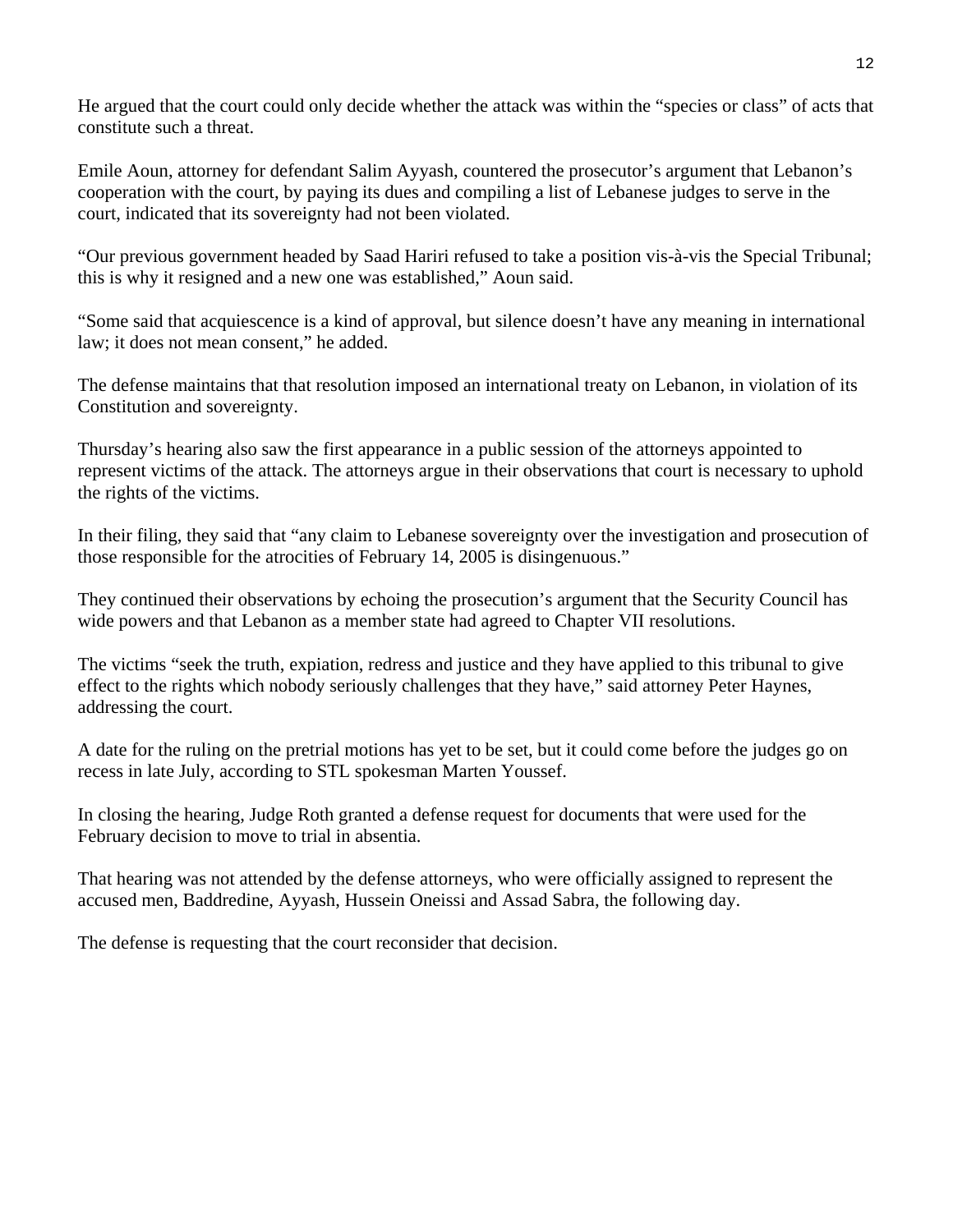He argued that the court could only decide whether the attack was within the "species or class" of acts that constitute such a threat.

Emile Aoun, attorney for defendant Salim Ayyash, countered the prosecutor's argument that Lebanon's cooperation with the court, by paying its dues and compiling a list of Lebanese judges to serve in the court, indicated that its sovereignty had not been violated.

"Our previous government headed by Saad Hariri refused to take a position vis-à-vis the Special Tribunal; this is why it resigned and a new one was established," Aoun said.

"Some said that acquiescence is a kind of approval, but silence doesn't have any meaning in international law; it does not mean consent," he added.

The defense maintains that that resolution imposed an international treaty on Lebanon, in violation of its Constitution and sovereignty.

Thursday's hearing also saw the first appearance in a public session of the attorneys appointed to represent victims of the attack. The attorneys argue in their observations that court is necessary to uphold the rights of the victims.

In their filing, they said that "any claim to Lebanese sovereignty over the investigation and prosecution of those responsible for the atrocities of February 14, 2005 is disingenuous."

They continued their observations by echoing the prosecution's argument that the Security Council has wide powers and that Lebanon as a member state had agreed to Chapter VII resolutions.

The victims "seek the truth, expiation, redress and justice and they have applied to this tribunal to give effect to the rights which nobody seriously challenges that they have," said attorney Peter Haynes, addressing the court.

A date for the ruling on the pretrial motions has yet to be set, but it could come before the judges go on recess in late July, according to STL spokesman Marten Youssef.

In closing the hearing, Judge Roth granted a defense request for documents that were used for the February decision to move to trial in absentia.

That hearing was not attended by the defense attorneys, who were officially assigned to represent the accused men, Baddredine, Ayyash, Hussein Oneissi and Assad Sabra, the following day.

The defense is requesting that the court reconsider that decision.